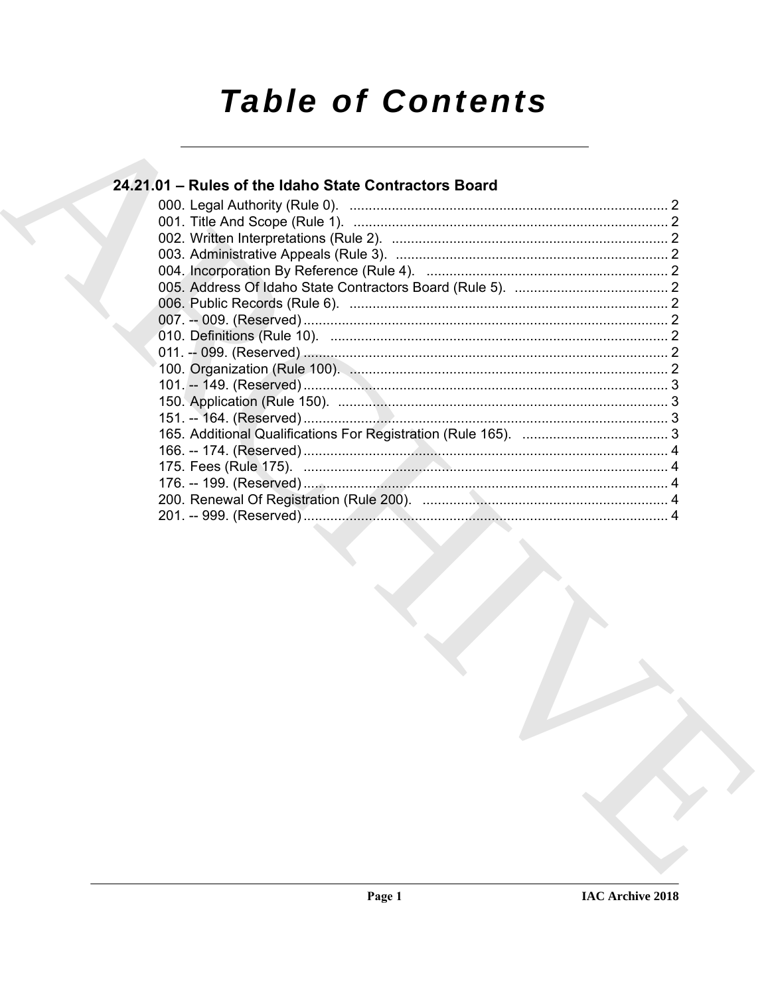# **Table of Contents**

# 24.21.01 - Rules of the Idaho State Contractors Board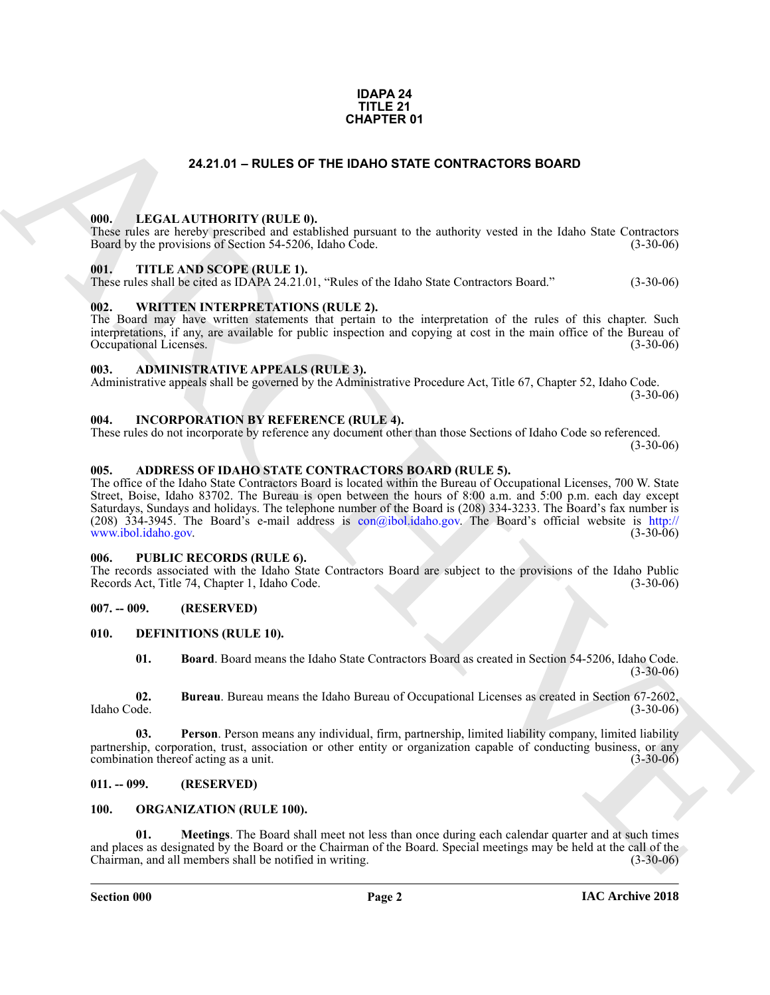#### **IDAPA 24 TITLE 21 CHAPTER 01**

#### **24.21.01 – RULES OF THE IDAHO STATE CONTRACTORS BOARD**

#### <span id="page-1-19"></span><span id="page-1-1"></span><span id="page-1-0"></span>**000. LEGAL AUTHORITY (RULE 0).**

These rules are hereby prescribed and established pursuant to the authority vested in the Idaho State Contractors Board by the provisions of Section 54-5206, Idaho Code. (3-30-06)

#### <span id="page-1-23"></span><span id="page-1-2"></span>**001. TITLE AND SCOPE (RULE 1).**

These rules shall be cited as IDAPA 24.21.01, "Rules of the Idaho State Contractors Board." (3-30-06)

#### <span id="page-1-24"></span><span id="page-1-3"></span>**002. WRITTEN INTERPRETATIONS (RULE 2).**

The Board may have written statements that pertain to the interpretation of the rules of this chapter. Such interpretations, if any, are available for public inspection and copying at cost in the main office of the Bureau of Occupational Licenses. (3-30-06) Occupational Licenses.

#### <span id="page-1-13"></span><span id="page-1-4"></span>**003. ADMINISTRATIVE APPEALS (RULE 3).**

Administrative appeals shall be governed by the Administrative Procedure Act, Title 67, Chapter 52, Idaho Code. (3-30-06)

#### <span id="page-1-18"></span><span id="page-1-5"></span>**004. INCORPORATION BY REFERENCE (RULE 4).**

These rules do not incorporate by reference any document other than those Sections of Idaho Code so referenced. (3-30-06)

#### <span id="page-1-12"></span><span id="page-1-6"></span>**005. ADDRESS OF IDAHO STATE CONTRACTORS BOARD (RULE 5).**

**[CH](mailto:con@ibol.idaho.gov)APTER 01**<br>
24.21.01 – RULES OF THE DAND STATE CONTRACTORS BOARD<br>
1990. LECAL ALTITIONITY (RULE B)<br>
1990. LECAL ALTITIONITY (RULE B)<br>
1990. THE ANS SCOPE RELEAT.<br>
1991. THE ANS SCOPE RELEAT.<br>
1991. THE ANS SCOPE RELEAT. The office of the Idaho State Contractors Board is located within the Bureau of Occupational Licenses, 700 W. State Street, Boise, Idaho 83702. The Bureau is open between the hours of 8:00 a.m. and 5:00 p.m. each day except Saturdays, Sundays and holidays. The telephone number of the Board is (208) 334-3233. The Board's fax number is (208) 334-3945. The Board's e-mail address is con@ibol.idaho.gov. The Board's official website is http:// www.ibol.idaho.gov. (3-30-06)

#### <span id="page-1-22"></span><span id="page-1-7"></span>**006. PUBLIC RECORDS (RULE 6).**

The records associated with the Idaho State Contractors Board are subject to the provisions of the Idaho Public Records Act, Title 74, Chapter 1, Idaho Code. (3-30-06)

#### <span id="page-1-8"></span>**007. -- 009. (RESERVED)**

#### <span id="page-1-9"></span>**010. DEFINITIONS (RULE 10).**

<span id="page-1-17"></span><span id="page-1-16"></span><span id="page-1-15"></span><span id="page-1-14"></span>**01. Board**. Board means the Idaho State Contractors Board as created in Section 54-5206, Idaho Code.  $(3-30-06)$ 

**02. Bureau**. Bureau means the Idaho Bureau of Occupational Licenses as created in Section 67-2602, Idaho Code. (3-30-06)

**03. Person**. Person means any individual, firm, partnership, limited liability company, limited liability partnership, corporation, trust, association or other entity or organization capable of conducting business, or any combination thereof acting as a unit. (3-30-06) combination thereof acting as a unit.

#### <span id="page-1-10"></span>**011. -- 099. (RESERVED)**

#### <span id="page-1-21"></span><span id="page-1-20"></span><span id="page-1-11"></span>**100. ORGANIZATION (RULE 100).**

**01. Meetings**. The Board shall meet not less than once during each calendar quarter and at such times and places as designated by the Board or the Chairman of the Board. Special meetings may be held at the call of the Chairman, and all members shall be notified in writing. Chairman, and all members shall be notified in writing.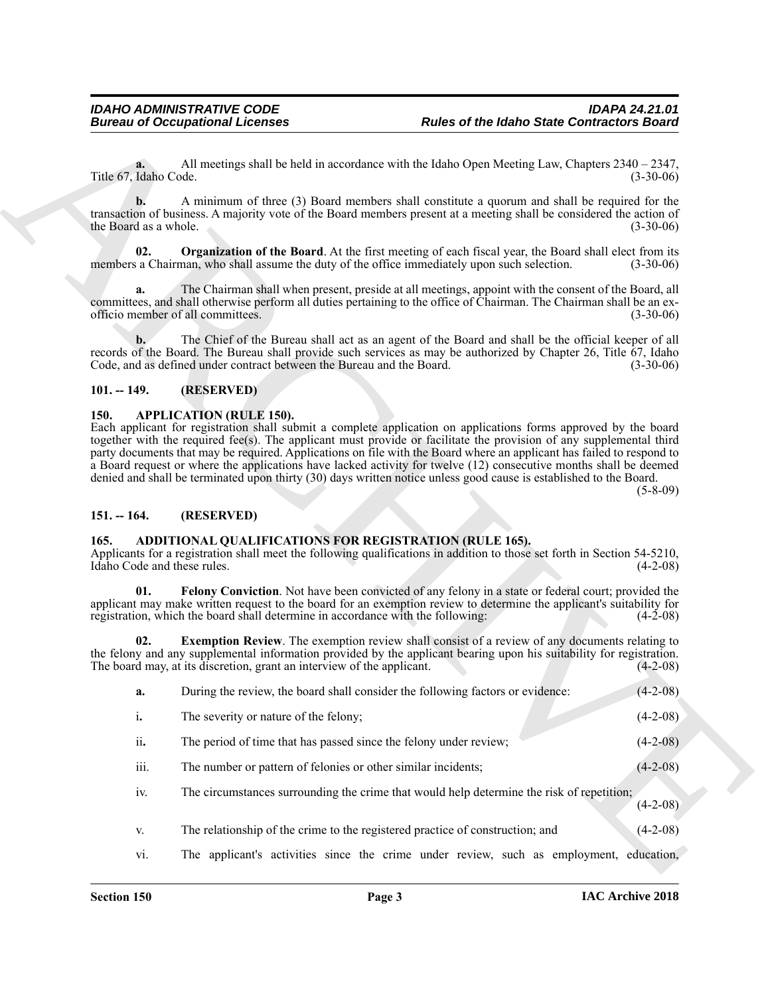#### <span id="page-2-8"></span><span id="page-2-0"></span>**101. -- 149. (RESERVED)**

#### <span id="page-2-7"></span><span id="page-2-1"></span>**150. APPLICATION (RULE 150).**

#### <span id="page-2-2"></span>**151. -- 164. (RESERVED)**

#### <span id="page-2-6"></span><span id="page-2-5"></span><span id="page-2-4"></span><span id="page-2-3"></span>**165. ADDITIONAL QUALIFICATIONS FOR REGISTRATION (RULE 165).**

|                                     | <b>Bureau of Occupational Licenses</b>                                                       | <b>Rules of the Idaho State Contractors Board</b>                                                                                                                                                                                                                                                                                                                                                                                                                                                                                                                                                          |                                                                                                                            |
|-------------------------------------|----------------------------------------------------------------------------------------------|------------------------------------------------------------------------------------------------------------------------------------------------------------------------------------------------------------------------------------------------------------------------------------------------------------------------------------------------------------------------------------------------------------------------------------------------------------------------------------------------------------------------------------------------------------------------------------------------------------|----------------------------------------------------------------------------------------------------------------------------|
| a.<br>Title 67, Idaho Code.         |                                                                                              | All meetings shall be held in accordance with the Idaho Open Meeting Law, Chapters $2340 - 2347$ ,                                                                                                                                                                                                                                                                                                                                                                                                                                                                                                         | $(3-30-06)$                                                                                                                |
| b.<br>the Board as a whole.         |                                                                                              | A minimum of three (3) Board members shall constitute a quorum and shall be required for the<br>transaction of business. A majority vote of the Board members present at a meeting shall be considered the action of                                                                                                                                                                                                                                                                                                                                                                                       | $(3-30-06)$                                                                                                                |
| 02.                                 | members a Chairman, who shall assume the duty of the office immediately upon such selection. | <b>Organization of the Board.</b> At the first meeting of each fiscal year, the Board shall elect from its                                                                                                                                                                                                                                                                                                                                                                                                                                                                                                 | $(3-30-06)$                                                                                                                |
| a.                                  | officio member of all committees.                                                            | The Chairman shall when present, preside at all meetings, appoint with the consent of the Board, all<br>committees, and shall otherwise perform all duties pertaining to the office of Chairman. The Chairman shall be an ex-                                                                                                                                                                                                                                                                                                                                                                              | $(3-30-06)$                                                                                                                |
| b.                                  | Code, and as defined under contract between the Bureau and the Board.                        | The Chief of the Bureau shall act as an agent of the Board and shall be the official keeper of all<br>records of the Board. The Bureau shall provide such services as may be authorized by Chapter 26, Title 67, Idaho                                                                                                                                                                                                                                                                                                                                                                                     | $(3-30-06)$                                                                                                                |
| $101. - 149.$                       | (RESERVED)                                                                                   |                                                                                                                                                                                                                                                                                                                                                                                                                                                                                                                                                                                                            |                                                                                                                            |
|                                     |                                                                                              | Each applicant for registration shall submit a complete application on applications forms approved by the board<br>together with the required fee(s). The applicant must provide or facilitate the provision of any supplemental third<br>party documents that may be required. Applications on file with the Board where an applicant has failed to respond to<br>a Board request or where the applications have lacked activity for twelve (12) consecutive months shall be deemed<br>denied and shall be terminated upon thirty (30) days written notice unless good cause is established to the Board. | $(5-8-09)$                                                                                                                 |
| $151. - 164.$                       | (RESERVED)                                                                                   |                                                                                                                                                                                                                                                                                                                                                                                                                                                                                                                                                                                                            |                                                                                                                            |
| 165.<br>Idaho Code and these rules. | ADDITIONAL QUALIFICATIONS FOR REGISTRATION (RULE 165).                                       | Applicants for a registration shall meet the following qualifications in addition to those set forth in Section 54-5210,                                                                                                                                                                                                                                                                                                                                                                                                                                                                                   |                                                                                                                            |
| 01.                                 | registration, which the board shall determine in accordance with the following:              | Felony Conviction. Not have been convicted of any felony in a state or federal court; provided the<br>applicant may make written request to the board for an exemption review to determine the applicant's suitability for                                                                                                                                                                                                                                                                                                                                                                                 |                                                                                                                            |
| 02.                                 | The board may, at its discretion, grant an interview of the applicant.                       | <b>Exemption Review.</b> The exemption review shall consist of a review of any documents relating to<br>the felony and any supplemental information provided by the applicant bearing upon his suitability for registration.                                                                                                                                                                                                                                                                                                                                                                               |                                                                                                                            |
| a.                                  | During the review, the board shall consider the following factors or evidence:               |                                                                                                                                                                                                                                                                                                                                                                                                                                                                                                                                                                                                            |                                                                                                                            |
| i.                                  | The severity or nature of the felony;                                                        |                                                                                                                                                                                                                                                                                                                                                                                                                                                                                                                                                                                                            |                                                                                                                            |
| ii.                                 | The period of time that has passed since the felony under review;                            |                                                                                                                                                                                                                                                                                                                                                                                                                                                                                                                                                                                                            |                                                                                                                            |
| iii.                                | The number or pattern of felonies or other similar incidents;                                |                                                                                                                                                                                                                                                                                                                                                                                                                                                                                                                                                                                                            |                                                                                                                            |
| iv.                                 |                                                                                              | The circumstances surrounding the crime that would help determine the risk of repetition;                                                                                                                                                                                                                                                                                                                                                                                                                                                                                                                  |                                                                                                                            |
| V.                                  | The relationship of the crime to the registered practice of construction; and                |                                                                                                                                                                                                                                                                                                                                                                                                                                                                                                                                                                                                            | $(4-2-08)$<br>$(4-2-08)$<br>$(4-2-08)$<br>$(4-2-08)$<br>$(4-2-08)$<br>$(4-2-08)$<br>$(4-2-08)$<br>$(4-2-08)$<br>$(4-2-08)$ |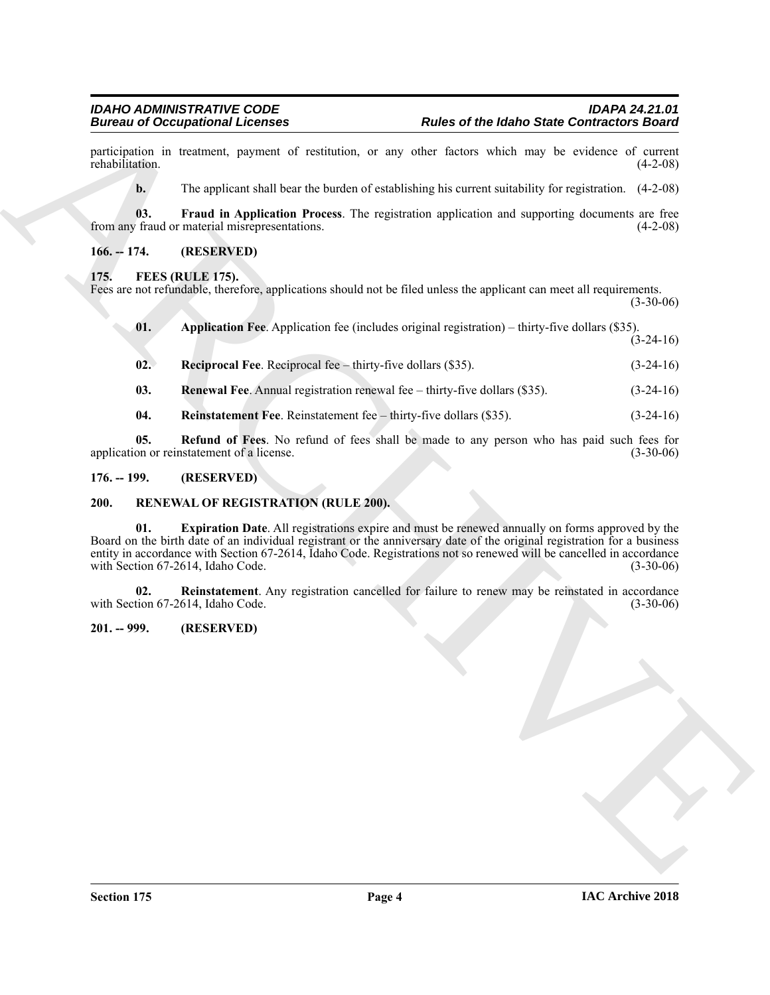#### <span id="page-3-6"></span><span id="page-3-5"></span><span id="page-3-1"></span><span id="page-3-0"></span>**175. FEES (RULE 175).**

| <b>Rules of the Idaho State Contractors Board</b>                                                                                                               |                                                                                                                                                                                                                                                                                                                                                                  |  |  |  |
|-----------------------------------------------------------------------------------------------------------------------------------------------------------------|------------------------------------------------------------------------------------------------------------------------------------------------------------------------------------------------------------------------------------------------------------------------------------------------------------------------------------------------------------------|--|--|--|
|                                                                                                                                                                 | participation in treatment, payment of restitution, or any other factors which may be evidence of current<br>$(4-2-08)$                                                                                                                                                                                                                                          |  |  |  |
|                                                                                                                                                                 | The applicant shall bear the burden of establishing his current suitability for registration. (4-2-08)                                                                                                                                                                                                                                                           |  |  |  |
|                                                                                                                                                                 | Fraud in Application Process. The registration application and supporting documents are free<br>$(4-2-08)$                                                                                                                                                                                                                                                       |  |  |  |
|                                                                                                                                                                 |                                                                                                                                                                                                                                                                                                                                                                  |  |  |  |
| FEES (RULE 175).<br>175.<br>Fees are not refundable, therefore, applications should not be filed unless the applicant can meet all requirements.<br>$(3-30-06)$ |                                                                                                                                                                                                                                                                                                                                                                  |  |  |  |
| Application Fee. Application fee (includes original registration) – thirty-five dollars (\$35).                                                                 | $(3-24-16)$                                                                                                                                                                                                                                                                                                                                                      |  |  |  |
|                                                                                                                                                                 | $(3-24-16)$                                                                                                                                                                                                                                                                                                                                                      |  |  |  |
| Renewal Fee. Annual registration renewal fee – thirty-five dollars (\$35).                                                                                      | $(3-24-16)$                                                                                                                                                                                                                                                                                                                                                      |  |  |  |
|                                                                                                                                                                 | $(3-24-16)$                                                                                                                                                                                                                                                                                                                                                      |  |  |  |
|                                                                                                                                                                 | Refund of Fees. No refund of fees shall be made to any person who has paid such fees for<br>$(3-30-06)$                                                                                                                                                                                                                                                          |  |  |  |
|                                                                                                                                                                 |                                                                                                                                                                                                                                                                                                                                                                  |  |  |  |
|                                                                                                                                                                 |                                                                                                                                                                                                                                                                                                                                                                  |  |  |  |
|                                                                                                                                                                 | Expiration Date. All registrations expire and must be renewed annually on forms approved by the<br>Board on the birth date of an individual registrant or the anniversary date of the original registration for a business<br>entity in accordance with Section 67-2614, Idaho Code. Registrations not so renewed will be cancelled in accordance<br>$(3-30-06)$ |  |  |  |
|                                                                                                                                                                 | Reinstatement. Any registration cancelled for failure to renew may be reinstated in accordance<br>$(3-30-06)$                                                                                                                                                                                                                                                    |  |  |  |
|                                                                                                                                                                 |                                                                                                                                                                                                                                                                                                                                                                  |  |  |  |
|                                                                                                                                                                 |                                                                                                                                                                                                                                                                                                                                                                  |  |  |  |
|                                                                                                                                                                 |                                                                                                                                                                                                                                                                                                                                                                  |  |  |  |
|                                                                                                                                                                 |                                                                                                                                                                                                                                                                                                                                                                  |  |  |  |

- <span id="page-3-11"></span><span id="page-3-8"></span><span id="page-3-7"></span>**03. Renewal Fee**. Annual registration renewal fee – thirty-five dollars (\$35). (3-24-16)
- <span id="page-3-10"></span><span id="page-3-9"></span>**04.** Reinstatement Fee. Reinstatement fee – thirty-five dollars (\$35). (3-24-16)

#### <span id="page-3-2"></span>**176. -- 199. (RESERVED)**

#### <span id="page-3-13"></span><span id="page-3-12"></span><span id="page-3-3"></span>**200. RENEWAL OF REGISTRATION (RULE 200).**

#### <span id="page-3-14"></span><span id="page-3-4"></span>**201. -- 999. (RESERVED)**